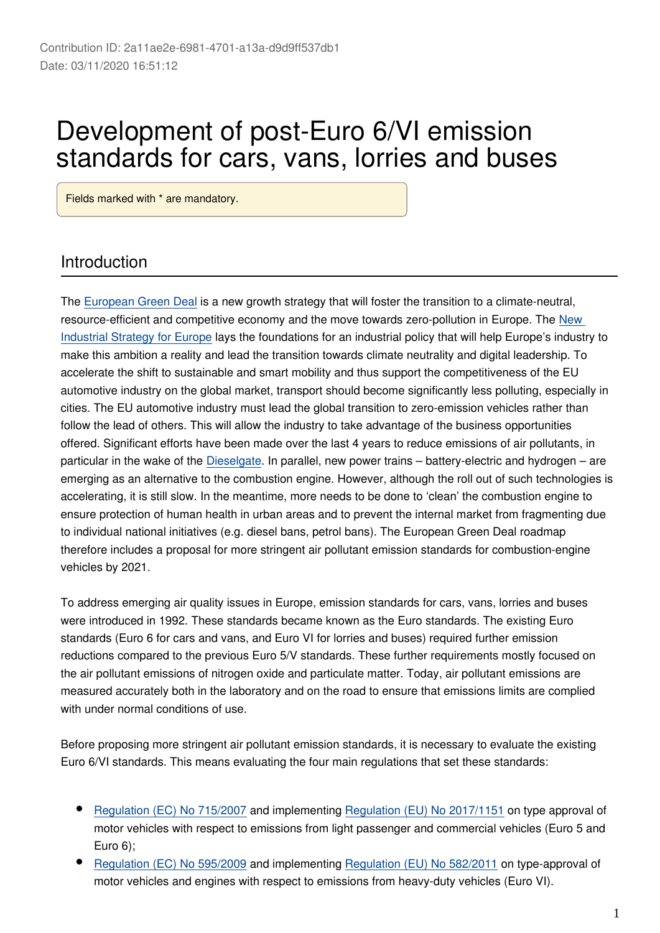# Development of post-Euro 6/VI emission standards for cars, vans, lorries and buses

Fields marked with \* are mandatory.

#### Introduction

The [European Green Deal](https://eur-lex.europa.eu/legal-content/EN/TXT/?qid=1585328784416&uri=CELEX:52019DC0640) is a new growth strategy that will foster the transition to a climate-neutral, resource-efficient and competitive economy and the move towards zero-pollution in Europe. The [New](https://eur-lex.europa.eu/legal-content/EN/TXT/?uri=CELEX:52020DC0102)  [Industrial Strategy for Europe](https://eur-lex.europa.eu/legal-content/EN/TXT/?uri=CELEX:52020DC0102) lays the foundations for an industrial policy that will help Europe's industry to make this ambition a reality and lead the transition towards climate neutrality and digital leadership. To accelerate the shift to sustainable and smart mobility and thus support the competitiveness of the EU automotive industry on the global market, transport should become significantly less polluting, especially in cities. The EU automotive industry must lead the global transition to zero-emission vehicles rather than follow the lead of others. This will allow the industry to take advantage of the business opportunities offered. Significant efforts have been made over the last 4 years to reduce emissions of air pollutants, in particular in the wake of the [Dieselgate.](https://ec.europa.eu/growth/content/eu-actions-dieselgate_en) In parallel, new power trains – battery-electric and hydrogen – are emerging as an alternative to the combustion engine. However, although the roll out of such technologies is accelerating, it is still slow. In the meantime, more needs to be done to 'clean' the combustion engine to ensure protection of human health in urban areas and to prevent the internal market from fragmenting due to individual national initiatives (e.g. diesel bans, petrol bans). The European Green Deal roadmap therefore includes a proposal for more stringent air pollutant emission standards for combustion-engine vehicles by 2021.

To address emerging air quality issues in Europe, emission standards for cars, vans, lorries and buses were introduced in 1992. These standards became known as the Euro standards. The existing Euro standards (Euro 6 for cars and vans, and Euro VI for lorries and buses) required further emission reductions compared to the previous Euro 5/V standards. These further requirements mostly focused on the air pollutant emissions of nitrogen oxide and particulate matter. Today, air pollutant emissions are measured accurately both in the laboratory and on the road to ensure that emissions limits are complied with under normal conditions of use.

Before proposing more stringent air pollutant emission standards, it is necessary to evaluate the existing Euro 6/VI standards. This means evaluating the four main regulations that set these standards:

- [Regulation \(EC\) No 715/2007](https://eur-lex.europa.eu/eli/reg/2007/715/oj) and implementing [Regulation \(EU\) No 2017/1151](https://eur-lex.europa.eu/eli/reg/2017/1151/oj) on type approval of motor vehicles with respect to emissions from light passenger and commercial vehicles (Euro 5 and Euro 6);
- [Regulation \(EC\) No 595/2009](https://eur-lex.europa.eu/eli/reg/2009/595/oj) and implementing [Regulation \(EU\) No 582/2011](https://eur-lex.europa.eu/legal-content/EN/TXT/?uri=CELEX:32011R0582) on type-approval of motor vehicles and engines with respect to emissions from heavy-duty vehicles (Euro VI).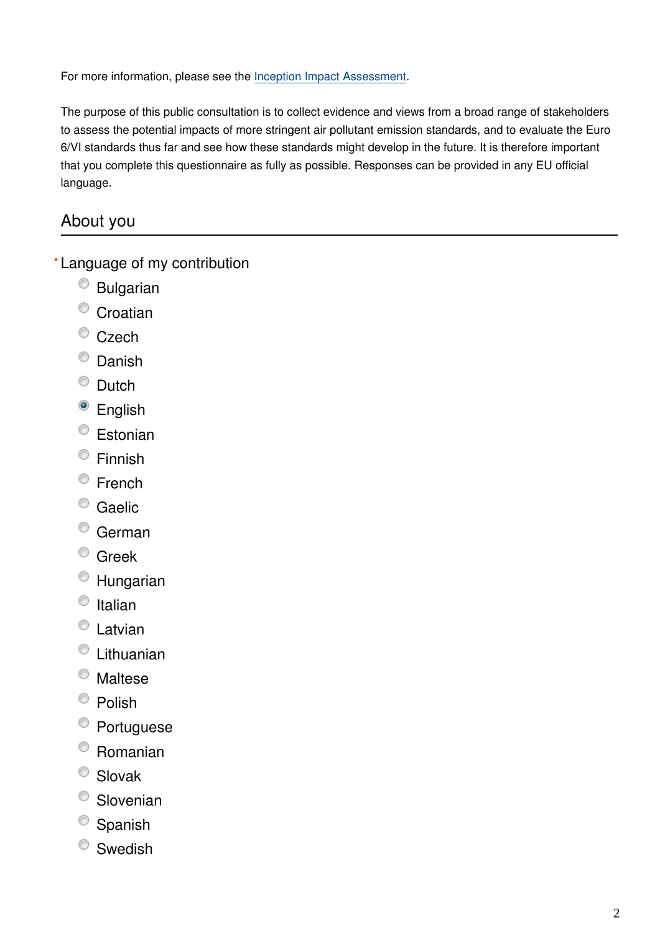For more information, please see the [Inception Impact Assessment.](https://ec.europa.eu/info/law/better-regulation/have-your-say/initiatives/12313-Development-of-Euro-7-emission-standards-for-cars-vans-lorries-and-buses)

The purpose of this public consultation is to collect evidence and views from a broad range of stakeholders to assess the potential impacts of more stringent air pollutant emission standards, and to evaluate the Euro 6/VI standards thus far and see how these standards might develop in the future. It is therefore important that you complete this questionnaire as fully as possible. Responses can be provided in any EU official language.

## About you

Language of my contribution **\***

- Bulgarian
- <sup>O</sup> Croatian
- <sup>O</sup> Czech
- <sup>O</sup> Danish
- <sup>O</sup> Dutch
- <sup>o</sup> English
- <sup>O</sup> Estonian
- Finnish
- <sup>©</sup> French
- <sup>o</sup> Gaelic
- German
- <sup>©</sup> Greek
- Hungarian
- $\circ$  Italian
- Latvian
- Lithuanian
- Maltese
- $\bullet$  Polish
- Portuguese
- Romanian
- Slovak
- <sup>O</sup> Slovenian
- <sup>O</sup> Spanish
- <sup>O</sup> Swedish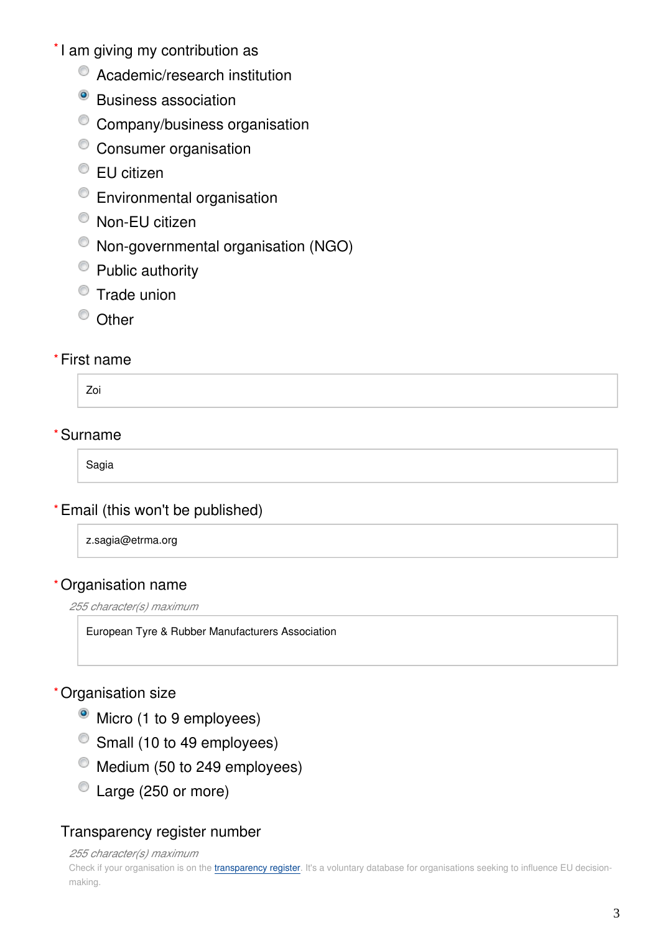- \*I am giving my contribution as
	- $\bullet$  Academic/research institution
	- <sup>o</sup> Business association
	- <sup>©</sup> Company/business organisation
	- <sup>©</sup> Consumer organisation
	- EU citizen
	- Environmental organisation
	- Non-EU citizen
	- Non-governmental organisation (NGO)
	- Public authority
	- **Trade union**
	- <sup>O</sup> Other

#### First name **\***

Zoi

#### Surname **\***

Sagia

#### Email (this won't be published) **\***

z.sagia@etrma.org

#### Organisation name **\***

*255 character(s) maximum*

European Tyre & Rubber Manufacturers Association

#### Organisation size **\***

- Micro (1 to 9 employees)
- Small (10 to 49 employees)
- $^{\circ}$  Medium (50 to 249 employees)
- Large (250 or more)

## Transparency register number

*255 character(s) maximum*

Check if your organisation is on the [transparency register](http://ec.europa.eu/transparencyregister/public/homePage.do?redir=false&locale=en). It's a voluntary database for organisations seeking to influence EU decisionmaking.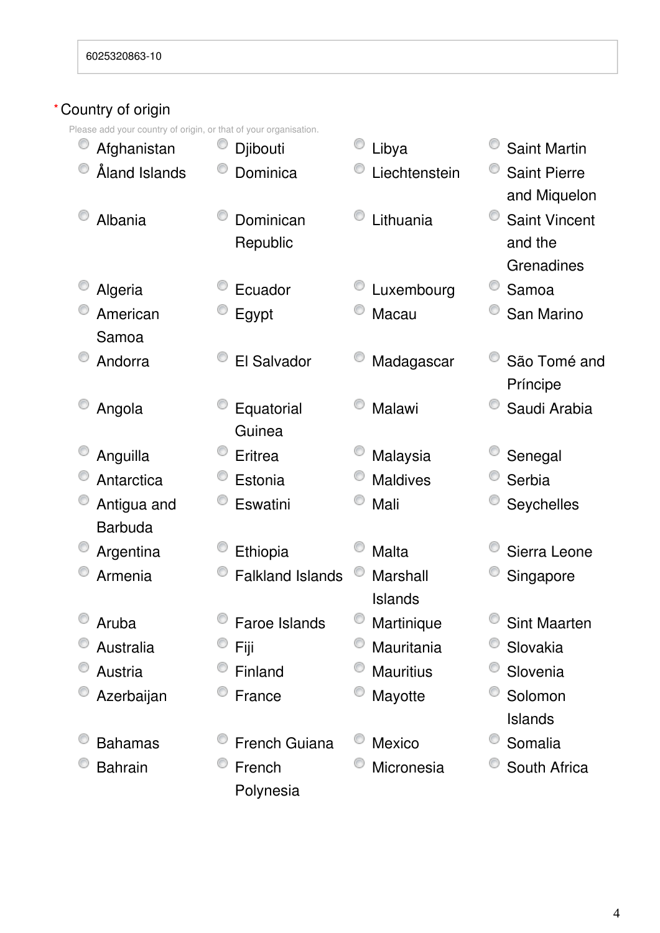#### Country of origin **\***

Please add your country of origin, or that of your organisation.

| iease auu your country or ongin, or that or your organisation.<br>Afghanistan | Djibouti                | Libya               | <b>Saint Martin</b>                           |
|-------------------------------------------------------------------------------|-------------------------|---------------------|-----------------------------------------------|
| Åland Islands                                                                 | Dominica                | Liechtenstein       | <b>Saint Pierre</b><br>and Miquelon           |
| Albania                                                                       | Dominican<br>Republic   | Lithuania           | <b>Saint Vincent</b><br>and the<br>Grenadines |
| Algeria                                                                       | Ecuador                 | Luxembourg          | Samoa                                         |
| American<br>Samoa                                                             | Egypt                   | Macau               | San Marino                                    |
| Andorra                                                                       | El Salvador             | Madagascar          | São Tomé and<br>Príncipe                      |
| Angola                                                                        | Equatorial<br>Guinea    | Malawi              | Saudi Arabia                                  |
| Anguilla                                                                      | Eritrea                 | Malaysia            | Senegal                                       |
| Antarctica                                                                    | Estonia                 | <b>Maldives</b>     | Serbia                                        |
| Antigua and<br><b>Barbuda</b>                                                 | Eswatini                | Mali                | Seychelles                                    |
| Argentina                                                                     | Ethiopia                | <b>Malta</b>        | Sierra Leone                                  |
| Armenia                                                                       | <b>Falkland Islands</b> | Marshall<br>Islands | Singapore                                     |
| Aruba                                                                         | <b>Faroe Islands</b>    | Martinique          | <b>Sint Maarten</b>                           |
| Australia                                                                     | Fiji                    | Mauritania          | Slovakia                                      |
| Austria                                                                       | Finland                 | <b>Mauritius</b>    | Slovenia                                      |
| Azerbaijan                                                                    | France                  | Mayotte             | Solomon<br>Islands                            |
| <b>Bahamas</b>                                                                | French Guiana           | Mexico              | Somalia                                       |
| <b>Bahrain</b>                                                                | French<br>Polynesia     | Micronesia          | South Africa                                  |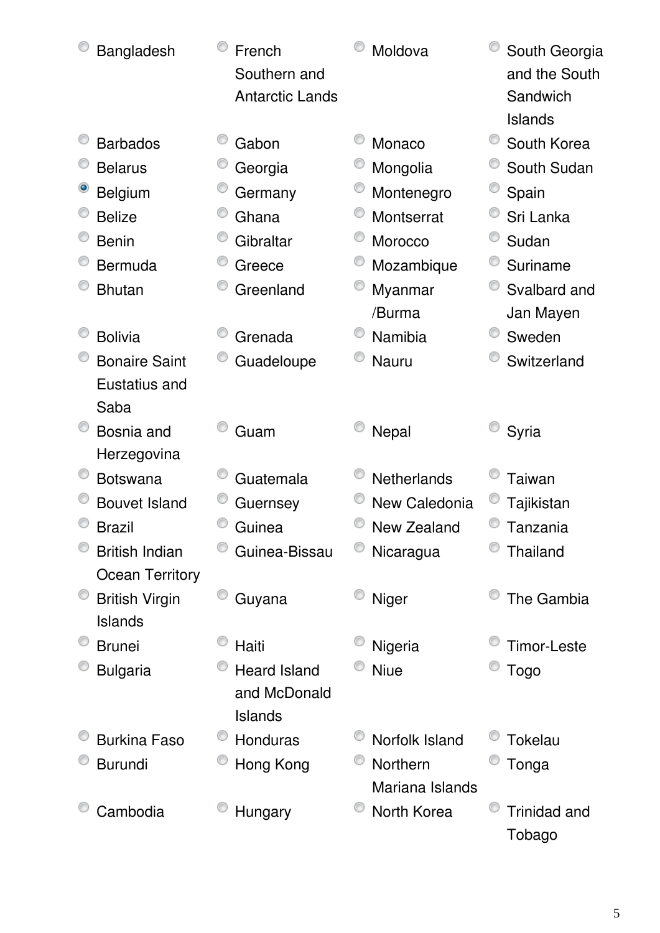| Bangladesh             | French<br>Southern and<br><b>Antarctic Lands</b> | Moldova                     | South Georgia<br>and the South<br>Sandwich<br><b>Islands</b> |
|------------------------|--------------------------------------------------|-----------------------------|--------------------------------------------------------------|
| <b>Barbados</b>        | Gabon                                            | Monaco                      | South Korea                                                  |
| <b>Belarus</b>         | Georgia                                          | Mongolia                    | South Sudan                                                  |
| <b>Belgium</b>         | Germany                                          | Montenegro                  | Spain                                                        |
| <b>Belize</b>          | Ghana                                            | Montserrat                  | Sri Lanka                                                    |
| <b>Benin</b>           | Gibraltar                                        | Morocco                     | Sudan                                                        |
| Bermuda                | Greece                                           | Mozambique                  | Suriname                                                     |
| <b>Bhutan</b>          | Greenland                                        | Myanmar                     | Svalbard and                                                 |
|                        |                                                  | /Burma                      | Jan Mayen                                                    |
| <b>Bolivia</b>         | Grenada                                          | Namibia                     | Sweden                                                       |
| <b>Bonaire Saint</b>   | Guadeloupe                                       | <b>Nauru</b>                | Switzerland                                                  |
| Eustatius and          |                                                  |                             |                                                              |
| Saba                   |                                                  |                             |                                                              |
| Bosnia and             | Guam                                             | Nepal                       | Syria                                                        |
| Herzegovina            |                                                  |                             |                                                              |
| <b>Botswana</b>        | Guatemala                                        | Netherlands                 | <b>Taiwan</b>                                                |
| <b>Bouvet Island</b>   | Guernsey                                         | New Caledonia               | Tajikistan                                                   |
| <b>Brazil</b>          | Guinea                                           | New Zealand                 | Tanzania                                                     |
| <b>British Indian</b>  | Guinea-Bissau                                    | Nicaragua                   | <b>Thailand</b>                                              |
| <b>Ocean Territory</b> |                                                  |                             |                                                              |
| <b>British Virgin</b>  | Guyana                                           | Niger                       | The Gambia                                                   |
| <b>Islands</b>         |                                                  |                             |                                                              |
| <b>Brunei</b>          | Haiti                                            | Nigeria                     | Timor-Leste                                                  |
| <b>Bulgaria</b>        | <b>Heard Island</b>                              | <b>Niue</b>                 | <b>Togo</b>                                                  |
|                        | and McDonald                                     |                             |                                                              |
| <b>Burkina Faso</b>    | <b>Islands</b><br>Honduras                       | Norfolk Island              | Tokelau                                                      |
|                        |                                                  |                             |                                                              |
| <b>Burundi</b>         | Hong Kong                                        | Northern<br>Mariana Islands | Tonga                                                        |
| Cambodia               | Hungary                                          | North Korea                 | <b>Trinidad and</b>                                          |
|                        |                                                  |                             | Tobago                                                       |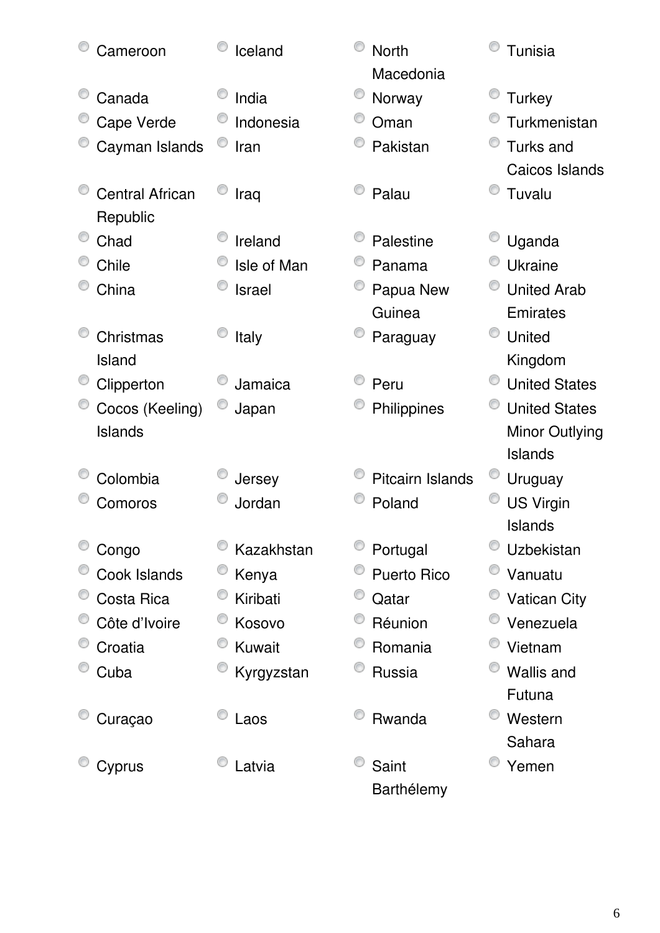| Cameroon                           | Iceland       | <b>North</b><br>Macedonia | Tunisia               |
|------------------------------------|---------------|---------------------------|-----------------------|
| Canada                             | India         | Norway                    | <b>Turkey</b>         |
| Cape Verde                         | Indonesia     | Oman                      | Turkmenistan          |
| Cayman Islands                     | Iran          | Pakistan                  | <b>Turks and</b>      |
|                                    |               |                           | Caicos Islands        |
| <b>Central African</b><br>Republic | Iraq          | Palau                     | Tuvalu                |
| Chad                               | Ireland       | Palestine                 | Uganda                |
| Chile                              | Isle of Man   | Panama                    | <b>Ukraine</b>        |
| China                              | <b>Israel</b> | Papua New                 | <b>United Arab</b>    |
|                                    |               | Guinea                    | Emirates              |
| Christmas                          | Italy         | Paraguay                  | <b>United</b>         |
| Island                             |               |                           | Kingdom               |
| Clipperton                         | Jamaica       | Peru                      | <b>United States</b>  |
| Cocos (Keeling)                    | Japan         | Philippines               | <b>United States</b>  |
| Islands                            |               |                           | <b>Minor Outlying</b> |
|                                    |               |                           | <b>Islands</b>        |
| Colombia                           | Jersey        | <b>Pitcairn Islands</b>   | Uruguay               |
| Comoros                            | Jordan        | Poland                    | <b>US Virgin</b>      |
|                                    |               |                           | <b>Islands</b>        |
| Congo                              | Kazakhstan    | Portugal                  | Uzbekistan            |
| Cook Islands                       | Kenya         | <b>Puerto Rico</b>        | Vanuatu               |
| Costa Rica                         | Kiribati      | Qatar                     | <b>Vatican City</b>   |
| Côte d'Ivoire                      | Kosovo        | Réunion                   | Venezuela             |
| Croatia                            | Kuwait        | Romania                   | Vietnam               |
| Cuba                               | Kyrgyzstan    | Russia                    | <b>Wallis and</b>     |
|                                    |               |                           | Futuna                |
| Curaçao                            | Laos          | Rwanda                    | O<br>Western          |
|                                    |               |                           | Sahara                |
| Cyprus                             | Latvia        | Saint                     | Yemen                 |
|                                    |               | Barthélemy                |                       |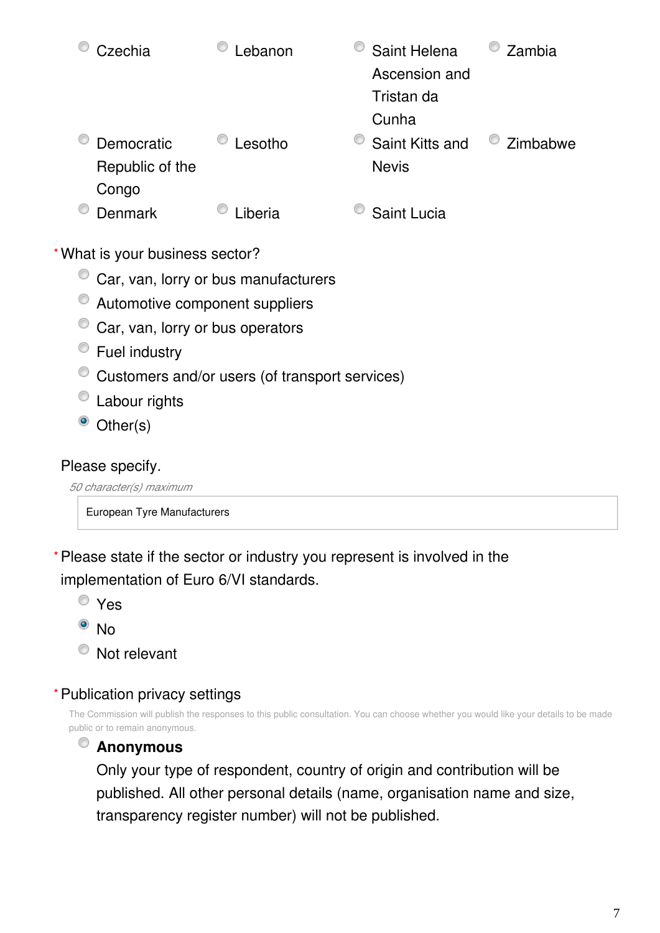| Czechia                                | Lebanon                                        | Saint Helena<br>Ascension and<br>Tristan da | Zambia   |
|----------------------------------------|------------------------------------------------|---------------------------------------------|----------|
| Democratic<br>Republic of the<br>Congo | Lesotho                                        | Cunha<br>Saint Kitts and<br><b>Nevis</b>    | Zimbabwe |
| <b>Denmark</b>                         | Liberia                                        | Saint Lucia                                 |          |
| What is your business sector?          |                                                |                                             |          |
|                                        | Car, van, lorry or bus manufacturers           |                                             |          |
| Automotive component suppliers         |                                                |                                             |          |
| Car, van, lorry or bus operators       |                                                |                                             |          |
| Fuel industry                          |                                                |                                             |          |
|                                        | Customers and/or users (of transport services) |                                             |          |

- <sup>O</sup> Labour rights
- Other(s)

**\***

#### Please specify.

*50 character(s) maximum*

European Tyre Manufacturers

Please state if the sector or industry you represent is involved in the **\*** implementation of Euro 6/VI standards.

- Yes
- $\bullet$  No
- Not relevant

#### Publication privacy settings **\***

The Commission will publish the responses to this public consultation. You can choose whether you would like your details to be made public or to remain anonymous.

## **Anonymous**

Only your type of respondent, country of origin and contribution will be published. All other personal details (name, organisation name and size, transparency register number) will not be published.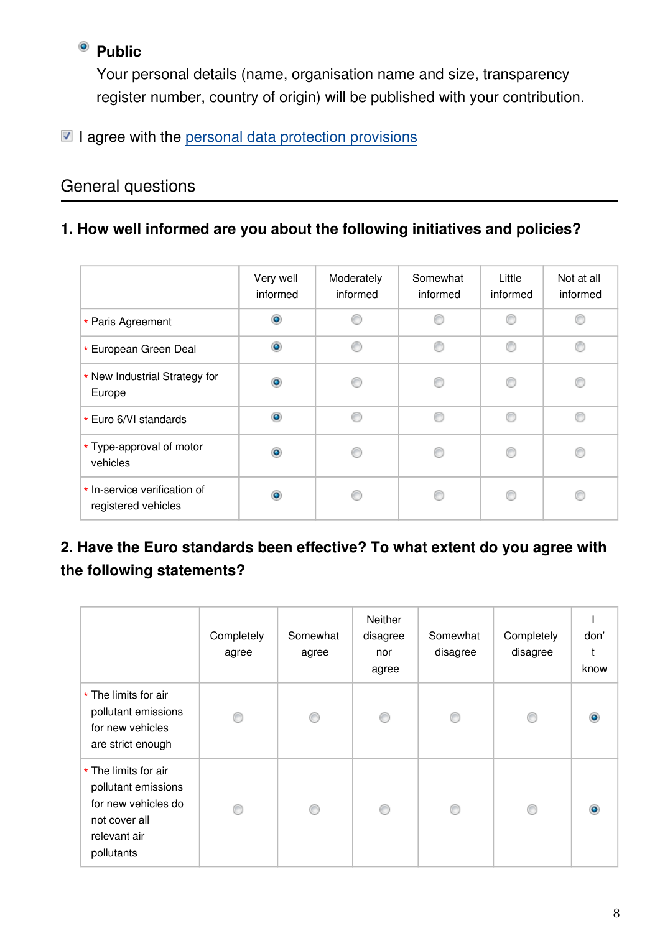## <sup>o</sup> Public

Your personal details (name, organisation name and size, transparency register number, country of origin) will be published with your contribution.

### $\blacksquare$  I agree with the [personal data protection provisions](https://ec.europa.eu/info/law/better-regulation/specific-privacy-statement_en)

### General questions

#### **1. How well informed are you about the following initiatives and policies?**

|                                                     | Very well<br>informed | Moderately<br>informed | Somewhat<br>informed | Little<br>informed | Not at all<br>informed |
|-----------------------------------------------------|-----------------------|------------------------|----------------------|--------------------|------------------------|
|                                                     |                       |                        |                      |                    |                        |
| * Paris Agreement                                   | $\bullet$             |                        | ⋒                    | ⋒                  |                        |
| * European Green Deal                               | $\bullet$             | ⋒                      | ⋒                    | ⋒                  |                        |
| * New Industrial Strategy for<br>Europe             | ۵                     |                        |                      |                    |                        |
| * Euro 6/VI standards                               | $\bullet$             | A                      | ⋒                    | A                  |                        |
| * Type-approval of motor<br>vehicles                | $\bullet$             |                        |                      |                    |                        |
| * In-service verification of<br>registered vehicles | ۰                     |                        |                      |                    |                        |

## **2. Have the Euro standards been effective? To what extent do you agree with the following statements?**

|                                                                                                                   | Completely<br>agree | Somewhat<br>agree | <b>Neither</b><br>disagree<br>nor<br>agree | Somewhat<br>disagree | Completely<br>disagree | don'<br>know |
|-------------------------------------------------------------------------------------------------------------------|---------------------|-------------------|--------------------------------------------|----------------------|------------------------|--------------|
| * The limits for air<br>pollutant emissions<br>for new vehicles<br>are strict enough                              |                     | €                 | ⋒                                          |                      |                        |              |
| * The limits for air<br>pollutant emissions<br>for new vehicles do<br>not cover all<br>relevant air<br>pollutants |                     | C                 | ⋒                                          | ⋒                    |                        |              |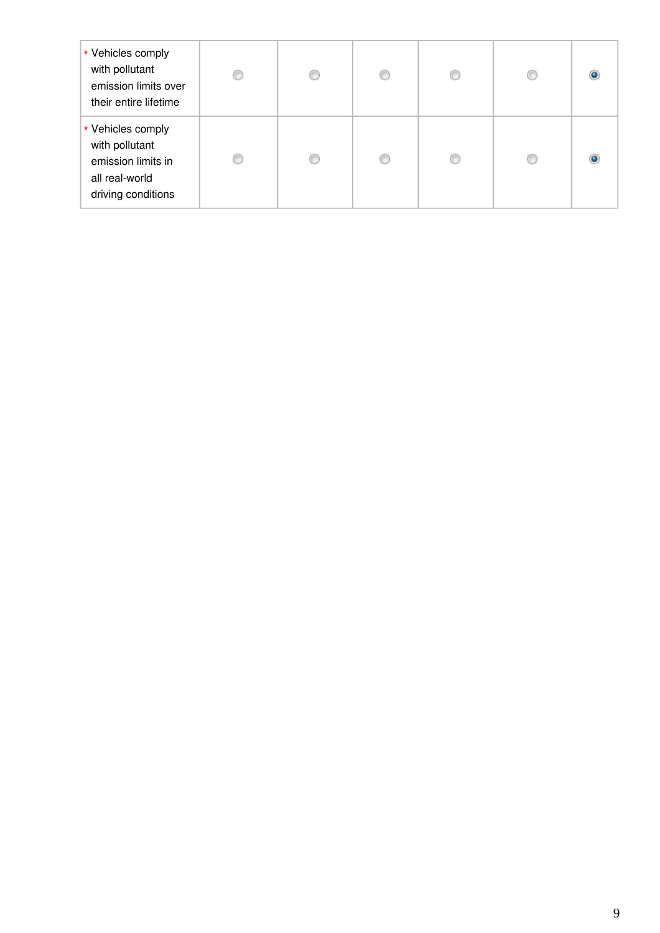| * Vehicles comply<br>with pollutant<br>emission limits over<br>their entire lifetime              | € | C | C |  |
|---------------------------------------------------------------------------------------------------|---|---|---|--|
| * Vehicles comply<br>with pollutant<br>emission limits in<br>all real-world<br>driving conditions | O | ⋒ | O |  |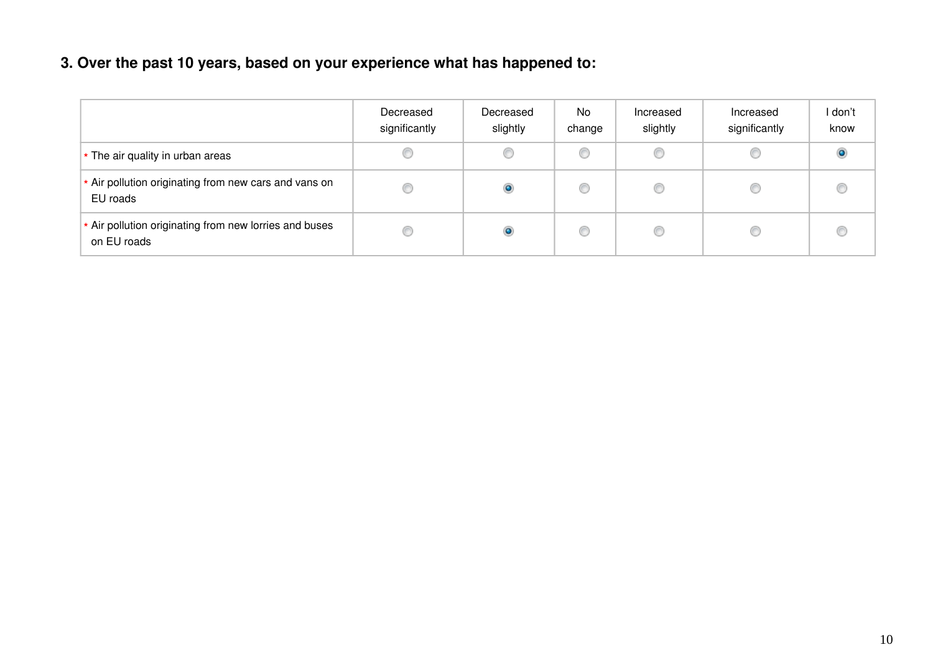## **3. Over the past 10 years, based on your experience what has happened to:**

|                                                                       | Decreased<br>significantly | Decreased<br>slightly | No.<br>change | Increased<br>slightly | Increased<br>significantly | l don't<br>know |
|-----------------------------------------------------------------------|----------------------------|-----------------------|---------------|-----------------------|----------------------------|-----------------|
| * The air quality in urban areas                                      |                            |                       | C             | ◎                     |                            | $\bullet$       |
| * Air pollution originating from new cars and vans on<br>EU roads     |                            | $\circ$               |               | ◎                     |                            | €               |
| * Air pollution originating from new lorries and buses<br>on EU roads |                            | $\circ$               |               | ◎                     |                            | O               |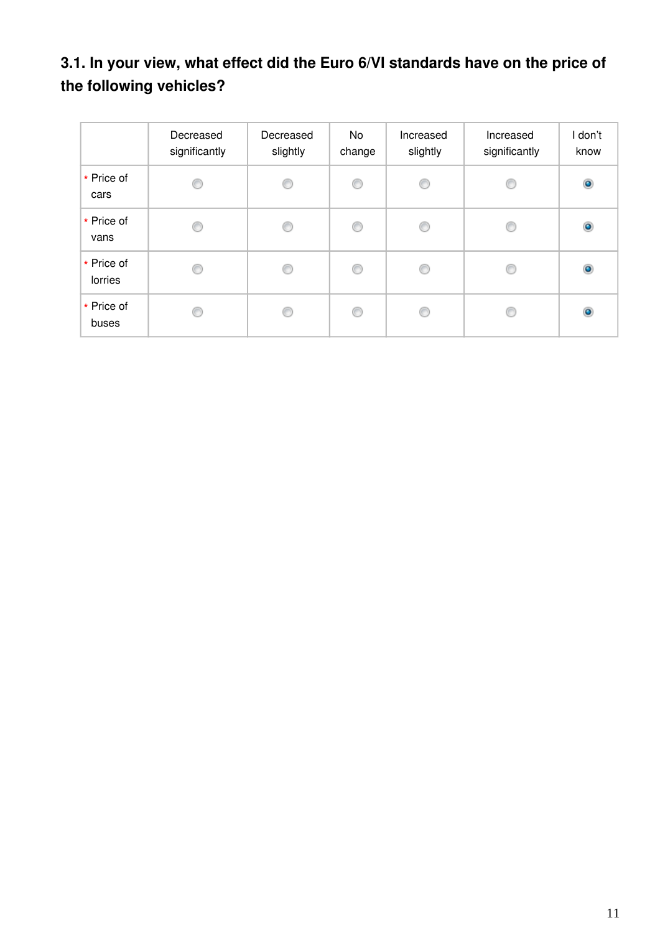# **3.1. In your view, what effect did the Euro 6/VI standards have on the price of the following vehicles?**

|                       | Decreased<br>significantly | Decreased<br>slightly | No<br>change | Increased<br>slightly | Increased<br>significantly | I don't<br>know |
|-----------------------|----------------------------|-----------------------|--------------|-----------------------|----------------------------|-----------------|
| * Price of<br>cars    | 0                          | 0                     | 0            | O                     |                            | $\bullet$       |
| * Price of<br>vans    | O                          | €                     | O            | C                     |                            | $\bullet$       |
| * Price of<br>lorries | ◎                          | C                     | ◎            | ⋒                     |                            | $\bullet$       |
| * Price of<br>buses   | O                          | 6                     | O            | €                     |                            | $\bullet$       |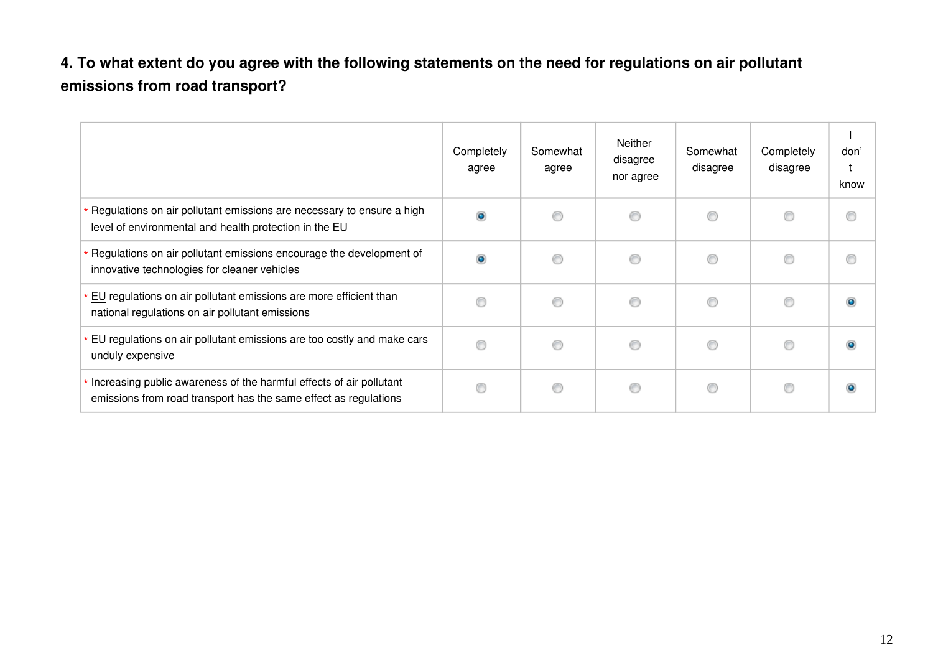## **4. To what extent do you agree with the following statements on the need for regulations on air pollutant emissions from road transport?**

|                                                                                                                                         | Completely<br>agree | Somewhat<br>agree | Neither<br>disagree<br>nor agree | Somewhat<br>disagree | Completely<br>disagree | don'<br>know |
|-----------------------------------------------------------------------------------------------------------------------------------------|---------------------|-------------------|----------------------------------|----------------------|------------------------|--------------|
| Regulations on air pollutant emissions are necessary to ensure a high<br>level of environmental and health protection in the EU         |                     | m                 | ∩                                | ⊙                    | ⋒                      |              |
| Regulations on air pollutant emissions encourage the development of<br>innovative technologies for cleaner vehicles                     |                     |                   | ⊙                                | ⋒                    |                        |              |
| EU regulations on air pollutant emissions are more efficient than<br>national regulations on air pollutant emissions                    |                     | ⋒                 | ∩                                | ⊙                    | ⋒                      |              |
| EU regulations on air pollutant emissions are too costly and make cars<br>unduly expensive                                              |                     | ⋒                 | ⊙                                | ⊙                    |                        |              |
| Increasing public awareness of the harmful effects of air pollutant<br>emissions from road transport has the same effect as regulations |                     | €                 | ⊙                                | 0                    | €                      |              |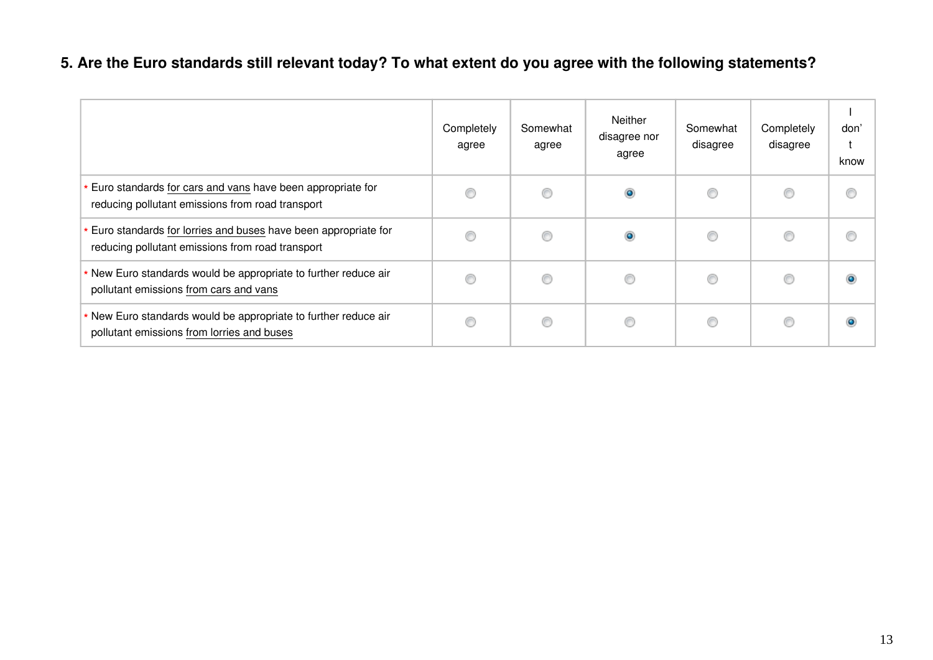## **5. Are the Euro standards still relevant today? To what extent do you agree with the following statements?**

|                                                                                                                    | Completely<br>agree | Somewhat<br>agree | Neither<br>disagree nor<br>agree | Somewhat<br>disagree | Completely<br>disagree | don'<br>$\ddot{}$<br>know |
|--------------------------------------------------------------------------------------------------------------------|---------------------|-------------------|----------------------------------|----------------------|------------------------|---------------------------|
| * Euro standards for cars and vans have been appropriate for<br>reducing pollutant emissions from road transport   | €                   |                   | ۱                                | ⊙                    | O                      | ⊙                         |
| Euro standards for lorries and buses have been appropriate for<br>reducing pollutant emissions from road transport | 6                   |                   | ۱                                | ⊙                    | C                      | ⊙                         |
| * New Euro standards would be appropriate to further reduce air<br>pollutant emissions from cars and vans          | €                   |                   | 0                                | ⊙                    | C                      | $\bullet$                 |
| * New Euro standards would be appropriate to further reduce air<br>pollutant emissions from lorries and buses      | 6                   |                   | 0                                | ⊙                    | C                      | $\bullet$                 |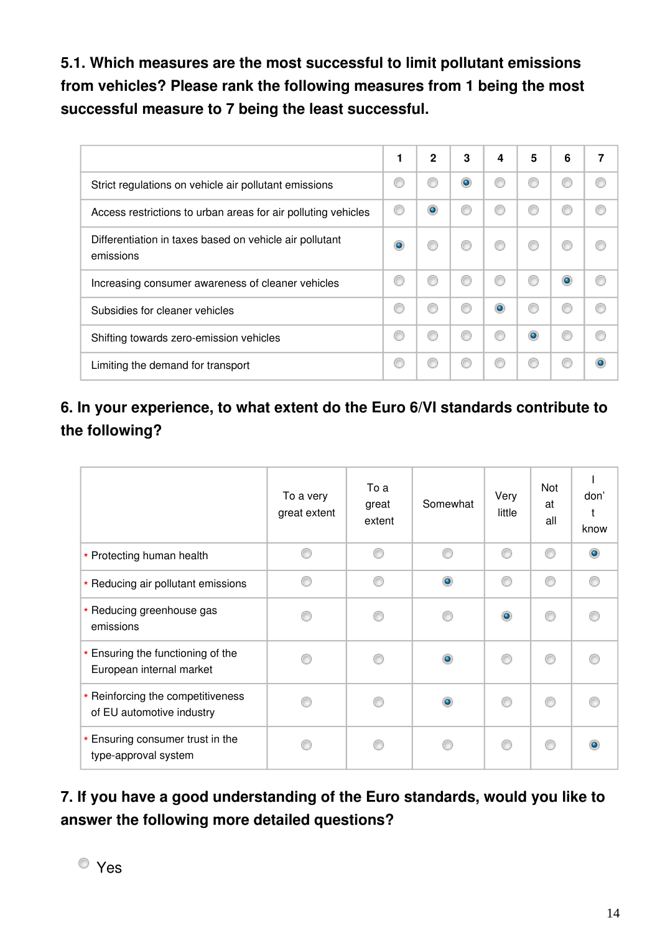**5.1. Which measures are the most successful to limit pollutant emissions from vehicles? Please rank the following measures from 1 being the most successful measure to 7 being the least successful.**

|                                                                      | 1 | $\mathbf{2}$ | 3         | 4 | 5 | 6         |  |
|----------------------------------------------------------------------|---|--------------|-----------|---|---|-----------|--|
| Strict regulations on vehicle air pollutant emissions                | O |              | $\bullet$ |   |   |           |  |
| Access restrictions to urban areas for air polluting vehicles        |   |              | €         | € |   |           |  |
| Differentiation in taxes based on vehicle air pollutant<br>emissions | ۰ |              |           | € |   |           |  |
| Increasing consumer awareness of cleaner vehicles                    | ◎ |              | €         | ⊙ |   | $\bullet$ |  |
| Subsidies for cleaner vehicles                                       | ◎ |              | ⋒         | ۰ |   | €         |  |
| Shifting towards zero-emission vehicles                              | € |              |           | C |   |           |  |
| Limiting the demand for transport                                    | ◎ |              | ⋒         | € |   | C         |  |

## **6. In your experience, to what extent do the Euro 6/VI standards contribute to the following?**

|                                                                | To a very<br>great extent | To a<br>great<br>extent | Somewhat  | Very<br>little | Not<br>at<br>all | don'<br>know |
|----------------------------------------------------------------|---------------------------|-------------------------|-----------|----------------|------------------|--------------|
| * Protecting human health                                      |                           | ⋒                       |           | ⋒              | ⋒                |              |
| * Reducing air pollutant emissions                             |                           |                         | $\bullet$ | ⋒              | ⋒                |              |
| * Reducing greenhouse gas<br>emissions                         |                           |                         |           | $\bullet$      |                  |              |
| * Ensuring the functioning of the<br>European internal market  |                           |                         | $\bullet$ |                |                  |              |
| * Reinforcing the competitiveness<br>of EU automotive industry |                           |                         | $\bullet$ |                |                  |              |
| * Ensuring consumer trust in the<br>type-approval system       |                           |                         |           |                |                  |              |

**7. If you have a good understanding of the Euro standards, would you like to answer the following more detailed questions?**